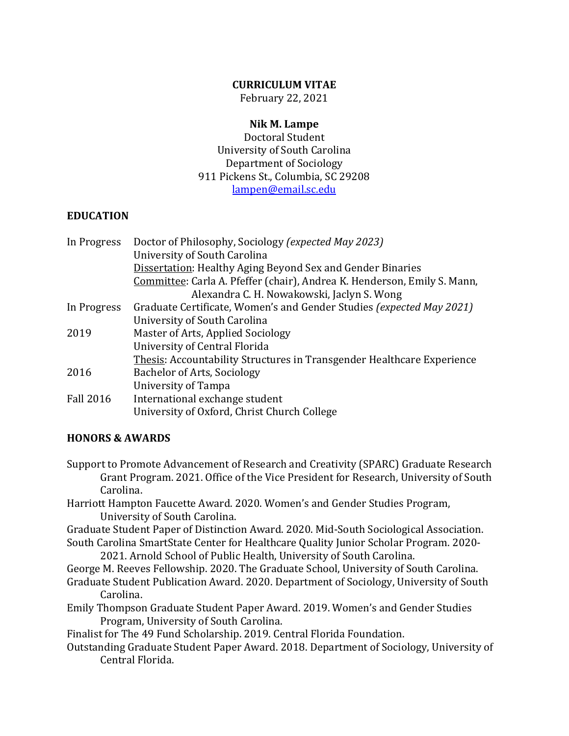### **CURRICULUM VITAE**

February 22, 2021

### **Nik M. Lampe**

Doctoral Student University of South Carolina Department of Sociology 911 Pickens St., Columbia, SC 29208 [lampen@email.sc.edu](mailto:lampen@email.sc.edu)

### **EDUCATION**

| In Progress      | Doctor of Philosophy, Sociology (expected May 2023)                      |
|------------------|--------------------------------------------------------------------------|
|                  | University of South Carolina                                             |
|                  | Dissertation: Healthy Aging Beyond Sex and Gender Binaries               |
|                  | Committee: Carla A. Pfeffer (chair), Andrea K. Henderson, Emily S. Mann, |
|                  | Alexandra C. H. Nowakowski, Jaclyn S. Wong                               |
| In Progress      | Graduate Certificate, Women's and Gender Studies (expected May 2021)     |
|                  | University of South Carolina                                             |
| 2019             | Master of Arts, Applied Sociology                                        |
|                  | University of Central Florida                                            |
|                  | Thesis: Accountability Structures in Transgender Healthcare Experience   |
| 2016             | Bachelor of Arts, Sociology                                              |
|                  | University of Tampa                                                      |
| <b>Fall 2016</b> | International exchange student                                           |
|                  | University of Oxford, Christ Church College                              |

## **HONORS & AWARDS**

- Support to Promote Advancement of Research and Creativity (SPARC) Graduate Research Grant Program. 2021. Office of the Vice President for Research, University of South Carolina.
- Harriott Hampton Faucette Award. 2020. Women's and Gender Studies Program, University of South Carolina.
- Graduate Student Paper of Distinction Award. 2020. Mid-South Sociological Association. South Carolina SmartState Center for Healthcare Quality Junior Scholar Program. 2020-

2021. Arnold School of Public Health, University of South Carolina.

- George M. Reeves Fellowship. 2020. The Graduate School, University of South Carolina.
- Graduate Student Publication Award. 2020. Department of Sociology, University of South Carolina.
- Emily Thompson Graduate Student Paper Award. 2019. Women's and Gender Studies Program, University of South Carolina.

Finalist for The 49 Fund Scholarship. 2019. Central Florida Foundation.

Outstanding Graduate Student Paper Award. 2018. Department of Sociology, University of Central Florida.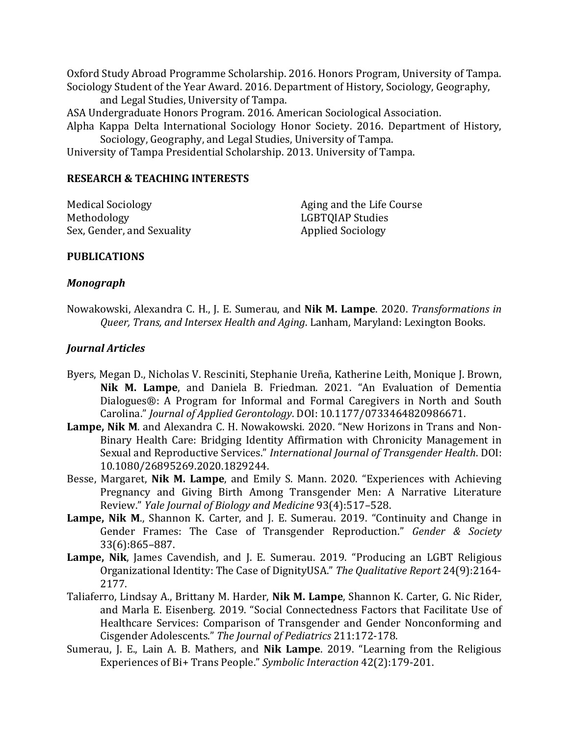Oxford Study Abroad Programme Scholarship. 2016. Honors Program, University of Tampa. Sociology Student of the Year Award. 2016. Department of History, Sociology, Geography,

and Legal Studies, University of Tampa.

ASA Undergraduate Honors Program. 2016. American Sociological Association.

Alpha Kappa Delta International Sociology Honor Society. 2016. Department of History, Sociology, Geography, and Legal Studies, University of Tampa.

University of Tampa Presidential Scholarship. 2013. University of Tampa.

### **RESEARCH & TEACHING INTERESTS**

Medical Sociology Methodology Sex, Gender, and Sexuality

Aging and the Life Course LGBTQIAP Studies Applied Sociology

### **PUBLICATIONS**

### *Monograph*

Nowakowski, Alexandra C. H., J. E. Sumerau, and **Nik M. Lampe**. 2020. *Transformations in Queer, Trans, and Intersex Health and Aging*. Lanham, Maryland: Lexington Books.

## *Journal Articles*

- Byers, Megan D., Nicholas V. Resciniti, Stephanie Ureña, Katherine Leith, Monique J. Brown, **Nik M. Lampe**, and Daniela B. Friedman. 2021. "An Evaluation of Dementia Dialogues®: A Program for Informal and Formal Caregivers in North and South Carolina." *Journal of Applied Gerontology*. DOI: 10.1177/0733464820986671.
- **Lampe, Nik M**. and Alexandra C. H. Nowakowski. 2020. "New Horizons in Trans and Non-Binary Health Care: Bridging Identity Affirmation with Chronicity Management in Sexual and Reproductive Services." *International Journal of Transgender Health*. DOI: 10.1080/26895269.2020.1829244.
- Besse, Margaret, **Nik M. Lampe**, and Emily S. Mann. 2020. "Experiences with Achieving Pregnancy and Giving Birth Among Transgender Men: A Narrative Literature Review." *Yale Journal of Biology and Medicine* 93(4):517–528.
- **Lampe, Nik M**., Shannon K. Carter, and J. E. Sumerau. 2019. "Continuity and Change in Gender Frames: The Case of Transgender Reproduction." *Gender & Society* 33(6):865–887.
- **Lampe, Nik**, James Cavendish, and J. E. Sumerau. 2019. "Producing an LGBT Religious Organizational Identity: The Case of DignityUSA." *The Qualitative Report* 24(9):2164- 2177.
- Taliaferro, Lindsay A., Brittany M. Harder, **Nik M. Lampe**, Shannon K. Carter, G. Nic Rider, and Marla E. Eisenberg. 2019. "Social Connectedness Factors that Facilitate Use of Healthcare Services: Comparison of Transgender and Gender Nonconforming and Cisgender Adolescents." *The Journal of Pediatrics* 211:172-178.
- Sumerau, J. E., Lain A. B. Mathers, and **Nik Lampe**. 2019. "Learning from the Religious Experiences of Bi+ Trans People." *Symbolic Interaction* 42(2):179-201.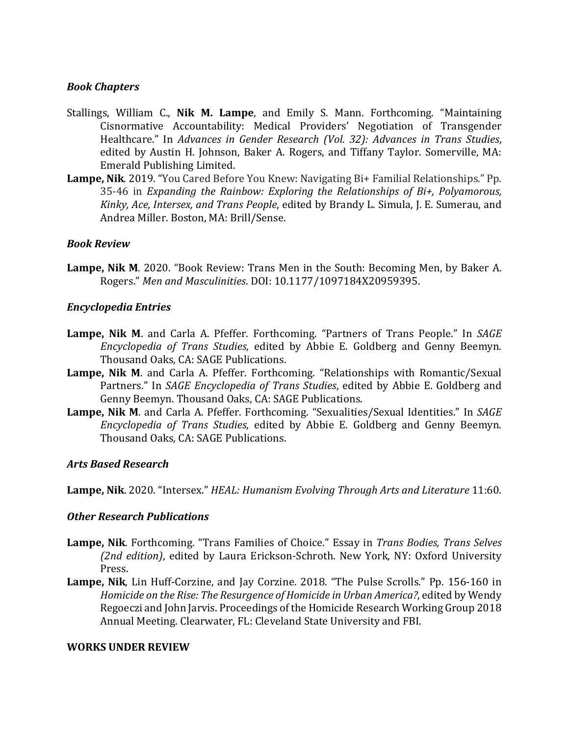### *Book Chapters*

- Stallings, William C., **Nik M. Lampe**, and Emily S. Mann. Forthcoming. "Maintaining Cisnormative Accountability: Medical Providers' Negotiation of Transgender Healthcare." In *Advances in Gender Research (Vol. 32): Advances in Trans Studies*, edited by Austin H. Johnson, Baker A. Rogers, and Tiffany Taylor. Somerville, MA: Emerald Publishing Limited.
- **Lampe, Nik**. 2019. "You Cared Before You Knew: Navigating Bi+ Familial Relationships." Pp. 35-46 in *Expanding the Rainbow: Exploring the Relationships of Bi+, Polyamorous, Kinky, Ace, Intersex, and Trans People*, edited by Brandy L. Simula, J. E. Sumerau, and Andrea Miller. Boston, MA: Brill/Sense.

### *Book Review*

**Lampe, Nik M**. 2020. "Book Review: Trans Men in the South: Becoming Men, by Baker A. Rogers." *Men and Masculinities*. DOI: 10.1177/1097184X20959395.

### *Encyclopedia Entries*

- **Lampe, Nik M**. and Carla A. Pfeffer. Forthcoming. "Partners of Trans People." In *SAGE Encyclopedia of Trans Studies*, edited by Abbie E. Goldberg and Genny Beemyn. Thousand Oaks, CA: SAGE Publications.
- **Lampe, Nik M**. and Carla A. Pfeffer. Forthcoming. "Relationships with Romantic/Sexual Partners." In *SAGE Encyclopedia of Trans Studies*, edited by Abbie E. Goldberg and Genny Beemyn. Thousand Oaks, CA: SAGE Publications.
- **Lampe, Nik M**. and Carla A. Pfeffer. Forthcoming. "Sexualities/Sexual Identities." In *SAGE Encyclopedia of Trans Studies*, edited by Abbie E. Goldberg and Genny Beemyn. Thousand Oaks, CA: SAGE Publications.

### *Arts Based Research*

**Lampe, Nik**. 2020. "Intersex." *HEAL: Humanism Evolving Through Arts and Literature* 11:60.

### *Other Research Publications*

- **Lampe, Nik**. Forthcoming. "Trans Families of Choice." Essay in *Trans Bodies, Trans Selves (2nd edition)*, edited by Laura Erickson-Schroth. New York, NY: Oxford University Press.
- **Lampe, Nik**, Lin Huff-Corzine, and Jay Corzine. 2018. "The Pulse Scrolls." Pp. 156-160 in *Homicide on the Rise: The Resurgence of Homicide in Urban America?*, edited by Wendy Regoeczi and John Jarvis. Proceedings of the Homicide Research Working Group 2018 Annual Meeting. Clearwater, FL: Cleveland State University and FBI.

### **WORKS UNDER REVIEW**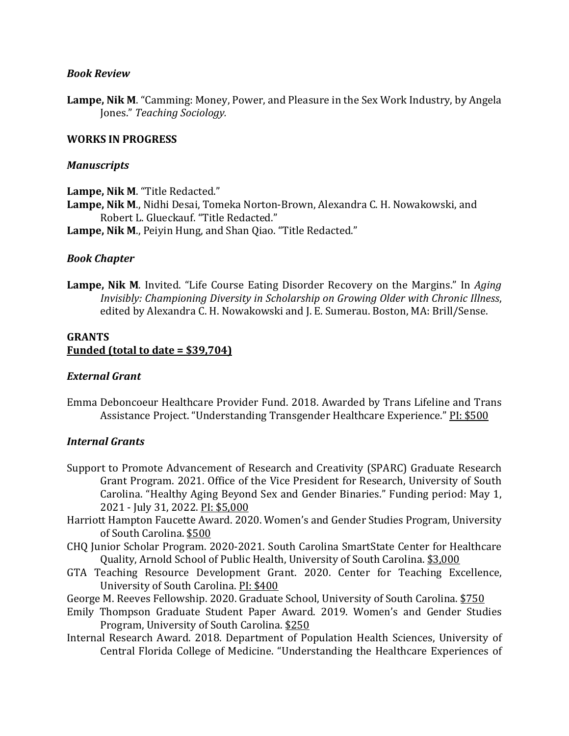### *Book Review*

**Lampe, Nik M**. "Camming: Money, Power, and Pleasure in the Sex Work Industry, by Angela Jones." *Teaching Sociology.*

### **WORKS IN PROGRESS**

#### *Manuscripts*

**Lampe, Nik M**. "Title Redacted."

- **Lampe, Nik M**., Nidhi Desai, Tomeka Norton-Brown, Alexandra C. H. Nowakowski, and Robert L. Glueckauf. "Title Redacted."
- **Lampe, Nik M**., Peiyin Hung, and Shan Qiao. "Title Redacted."

### *Book Chapter*

**Lampe, Nik M**. Invited. "Life Course Eating Disorder Recovery on the Margins." In *Aging Invisibly: Championing Diversity in Scholarship on Growing Older with Chronic Illness*, edited by Alexandra C. H. Nowakowski and J. E. Sumerau. Boston, MA: Brill/Sense.

### **GRANTS Funded (total to date = \$39,704)**

### *External Grant*

Emma Deboncoeur Healthcare Provider Fund. 2018. Awarded by Trans Lifeline and Trans Assistance Project. "Understanding Transgender Healthcare Experience." PI: \$500

### *Internal Grants*

- Support to Promote Advancement of Research and Creativity (SPARC) Graduate Research Grant Program. 2021. Office of the Vice President for Research, University of South Carolina. "Healthy Aging Beyond Sex and Gender Binaries." Funding period: May 1, 2021 - July 31, 2022. PI: \$5,000
- Harriott Hampton Faucette Award. 2020. Women's and Gender Studies Program, University of South Carolina. \$500
- CHQ Junior Scholar Program. 2020-2021. South Carolina SmartState Center for Healthcare Quality, Arnold School of Public Health, University of South Carolina. \$3,000
- GTA Teaching Resource Development Grant. 2020. Center for Teaching Excellence, University of South Carolina. PI: \$400
- George M. Reeves Fellowship. 2020. Graduate School, University of South Carolina. \$750
- Emily Thompson Graduate Student Paper Award. 2019. Women's and Gender Studies Program, University of South Carolina. \$250
- Internal Research Award. 2018. Department of Population Health Sciences, University of Central Florida College of Medicine. "Understanding the Healthcare Experiences of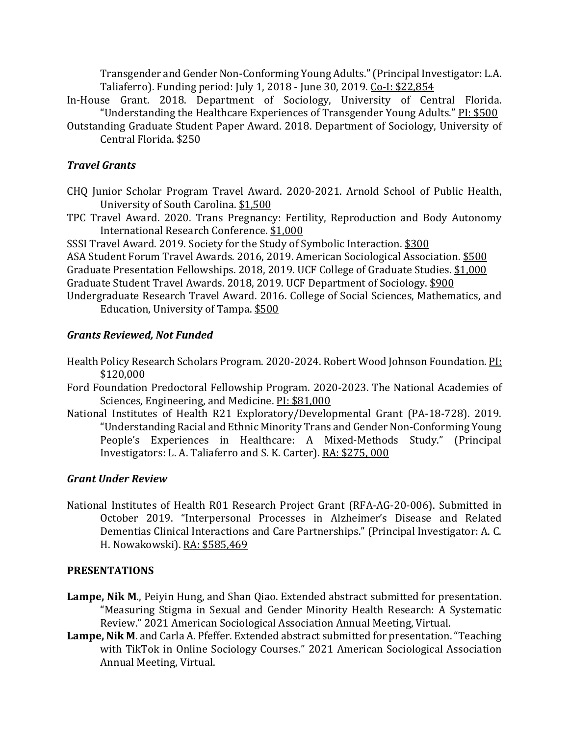Transgender and Gender Non-Conforming Young Adults." (Principal Investigator: L.A. Taliaferro). Funding period: July 1, 2018 - June 30, 2019. Co-I: \$22,854

- In-House Grant. 2018. Department of Sociology, University of Central Florida. "Understanding the Healthcare Experiences of Transgender Young Adults." PI: \$500
- Outstanding Graduate Student Paper Award. 2018. Department of Sociology, University of Central Florida. \$250

# *Travel Grants*

- CHQ Junior Scholar Program Travel Award. 2020-2021. Arnold School of Public Health, University of South Carolina. \$1,500
- TPC Travel Award. 2020. Trans Pregnancy: Fertility, Reproduction and Body Autonomy International Research Conference. \$1,000

SSSI Travel Award. 2019. Society for the Study of Symbolic Interaction. \$300

ASA Student Forum Travel Awards. 2016, 2019. American Sociological Association. \$500 Graduate Presentation Fellowships. 2018, 2019. UCF College of Graduate Studies. \$1,000 Graduate Student Travel Awards. 2018, 2019. UCF Department of Sociology. \$900

Undergraduate Research Travel Award. 2016. College of Social Sciences, Mathematics, and Education, University of Tampa. \$500

# *Grants Reviewed, Not Funded*

- Health Policy Research Scholars Program. 2020-2024. Robert Wood Johnson Foundation. PI: \$120,000
- Ford Foundation Predoctoral Fellowship Program. 2020-2023. The National Academies of Sciences, Engineering, and Medicine. PI: \$81,000
- National Institutes of Health R21 Exploratory/Developmental Grant (PA-18-728). 2019. "Understanding Racial and Ethnic Minority Trans and Gender Non-Conforming Young People's Experiences in Healthcare: A Mixed-Methods Study." (Principal Investigators: L. A. Taliaferro and S. K. Carter). RA: \$275, 000

## *Grant Under Review*

National Institutes of Health R01 Research Project Grant (RFA-AG-20-006). Submitted in October 2019. "Interpersonal Processes in Alzheimer's Disease and Related Dementias Clinical Interactions and Care Partnerships." (Principal Investigator: A. C. H. Nowakowski). RA: \$585,469

## **PRESENTATIONS**

- **Lampe, Nik M**., Peiyin Hung, and Shan Qiao. Extended abstract submitted for presentation. "Measuring Stigma in Sexual and Gender Minority Health Research: A Systematic Review." 2021 American Sociological Association Annual Meeting, Virtual.
- **Lampe, Nik M**. and Carla A. Pfeffer. Extended abstract submitted for presentation."Teaching with TikTok in Online Sociology Courses." 2021 American Sociological Association Annual Meeting, Virtual.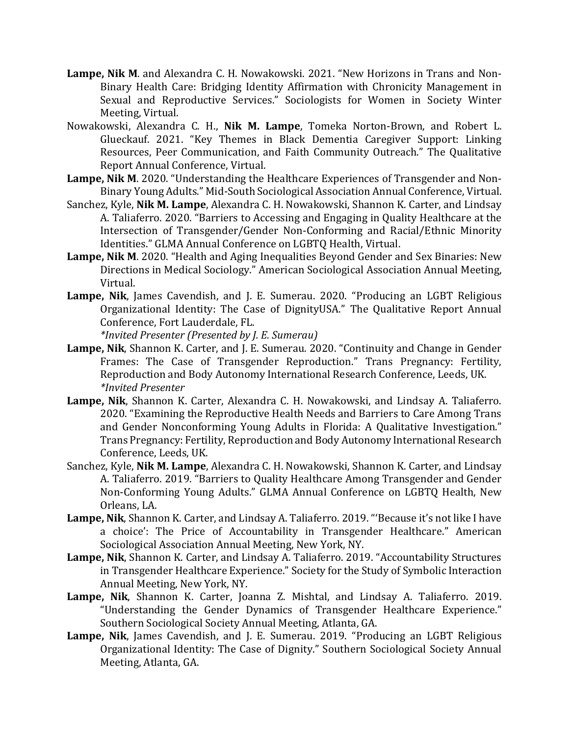- **Lampe, Nik M**. and Alexandra C. H. Nowakowski. 2021. "New Horizons in Trans and Non-Binary Health Care: Bridging Identity Affirmation with Chronicity Management in Sexual and Reproductive Services." Sociologists for Women in Society Winter Meeting, Virtual.
- Nowakowski, Alexandra C. H., **Nik M. Lampe**, Tomeka Norton-Brown, and Robert L. Glueckauf. 2021. "Key Themes in Black Dementia Caregiver Support: Linking Resources, Peer Communication, and Faith Community Outreach." The Qualitative Report Annual Conference, Virtual.
- **Lampe, Nik M**. 2020. "Understanding the Healthcare Experiences of Transgender and Non-Binary Young Adults." Mid-South Sociological Association Annual Conference, Virtual.
- Sanchez, Kyle, **Nik M. Lampe**, Alexandra C. H. Nowakowski, Shannon K. Carter, and Lindsay A. Taliaferro. 2020. "Barriers to Accessing and Engaging in Quality Healthcare at the Intersection of Transgender/Gender Non-Conforming and Racial/Ethnic Minority Identities." GLMA Annual Conference on LGBTQ Health, Virtual.
- **Lampe, Nik M**. 2020. "Health and Aging Inequalities Beyond Gender and Sex Binaries: New Directions in Medical Sociology." American Sociological Association Annual Meeting, Virtual.
- **Lampe, Nik**, James Cavendish, and J. E. Sumerau. 2020. "Producing an LGBT Religious Organizational Identity: The Case of DignityUSA." The Qualitative Report Annual Conference, Fort Lauderdale, FL.

*\*Invited Presenter (Presented by J. E. Sumerau)*

- **Lampe, Nik**, Shannon K. Carter, and J. E. Sumerau. 2020. "Continuity and Change in Gender Frames: The Case of Transgender Reproduction." Trans Pregnancy: Fertility, Reproduction and Body Autonomy International Research Conference, Leeds, UK. *\*Invited Presenter*
- **Lampe, Nik**, Shannon K. Carter, Alexandra C. H. Nowakowski, and Lindsay A. Taliaferro. 2020. "Examining the Reproductive Health Needs and Barriers to Care Among Trans and Gender Nonconforming Young Adults in Florida: A Qualitative Investigation." Trans Pregnancy: Fertility, Reproduction and Body Autonomy International Research Conference, Leeds, UK.
- Sanchez, Kyle, **Nik M. Lampe**, Alexandra C. H. Nowakowski, Shannon K. Carter, and Lindsay A. Taliaferro. 2019. "Barriers to Quality Healthcare Among Transgender and Gender Non-Conforming Young Adults." GLMA Annual Conference on LGBTQ Health, New Orleans, LA.
- **Lampe, Nik**, Shannon K. Carter, and Lindsay A. Taliaferro. 2019. "'Because it's not like I have a choice': The Price of Accountability in Transgender Healthcare." American Sociological Association Annual Meeting, New York, NY.
- **Lampe, Nik**, Shannon K. Carter, and Lindsay A. Taliaferro. 2019. "Accountability Structures in Transgender Healthcare Experience." Society for the Study of Symbolic Interaction Annual Meeting, New York, NY.
- **Lampe, Nik**, Shannon K. Carter, Joanna Z. Mishtal, and Lindsay A. Taliaferro. 2019. "Understanding the Gender Dynamics of Transgender Healthcare Experience." Southern Sociological Society Annual Meeting, Atlanta, GA.
- **Lampe, Nik**, James Cavendish, and J. E. Sumerau. 2019. "Producing an LGBT Religious Organizational Identity: The Case of Dignity." Southern Sociological Society Annual Meeting, Atlanta, GA.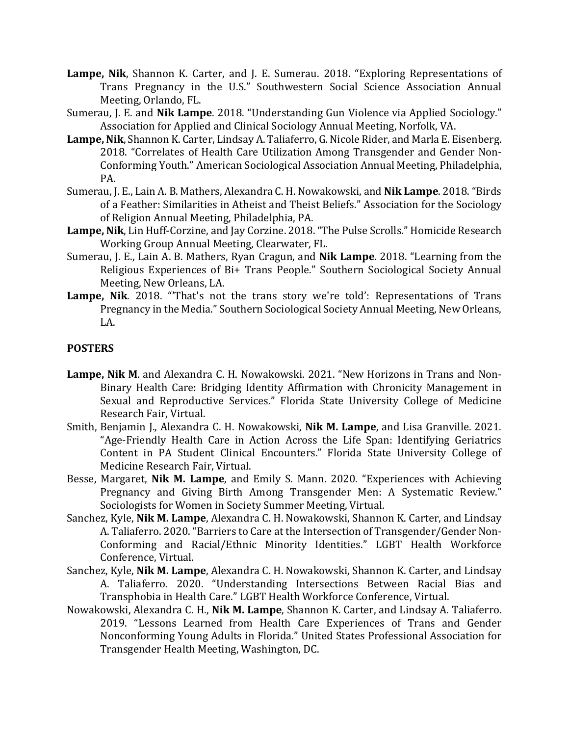- **Lampe, Nik**, Shannon K. Carter, and J. E. Sumerau. 2018. "Exploring Representations of Trans Pregnancy in the U.S." Southwestern Social Science Association Annual Meeting, Orlando, FL.
- Sumerau, J. E. and **Nik Lampe**. 2018. "Understanding Gun Violence via Applied Sociology." Association for Applied and Clinical Sociology Annual Meeting, Norfolk, VA.
- **Lampe, Nik**, Shannon K. Carter, Lindsay A. Taliaferro, G. Nicole Rider, and Marla E. Eisenberg. 2018. "Correlates of Health Care Utilization Among Transgender and Gender Non-Conforming Youth." American Sociological Association Annual Meeting, Philadelphia, PA.
- Sumerau, J. E., Lain A. B. Mathers, Alexandra C. H. Nowakowski, and **Nik Lampe**. 2018. "Birds of a Feather: Similarities in Atheist and Theist Beliefs." Association for the Sociology of Religion Annual Meeting, Philadelphia, PA.
- **Lampe, Nik**, Lin Huff-Corzine, and Jay Corzine. 2018. "The Pulse Scrolls." Homicide Research Working Group Annual Meeting, Clearwater, FL.
- Sumerau, J. E., Lain A. B. Mathers, Ryan Cragun, and **Nik Lampe**. 2018. "Learning from the Religious Experiences of Bi+ Trans People." Southern Sociological Society Annual Meeting, New Orleans, LA.
- **Lampe, Nik**. 2018. "'That's not the trans story we're told': Representations of Trans Pregnancy in the Media." Southern Sociological Society Annual Meeting, New Orleans, LA.

## **POSTERS**

- **Lampe, Nik M**. and Alexandra C. H. Nowakowski. 2021. "New Horizons in Trans and Non-Binary Health Care: Bridging Identity Affirmation with Chronicity Management in Sexual and Reproductive Services." Florida State University College of Medicine Research Fair, Virtual.
- Smith, Benjamin J., Alexandra C. H. Nowakowski, **Nik M. Lampe**, and Lisa Granville. 2021. "Age-Friendly Health Care in Action Across the Life Span: Identifying Geriatrics Content in PA Student Clinical Encounters." Florida State University College of Medicine Research Fair, Virtual.
- Besse, Margaret, **Nik M. Lampe**, and Emily S. Mann. 2020. "Experiences with Achieving Pregnancy and Giving Birth Among Transgender Men: A Systematic Review." Sociologists for Women in Society Summer Meeting, Virtual.
- Sanchez, Kyle, **Nik M. Lampe**, Alexandra C. H. Nowakowski, Shannon K. Carter, and Lindsay A. Taliaferro. 2020. "Barriers to Care at the Intersection of Transgender/Gender Non-Conforming and Racial/Ethnic Minority Identities." LGBT Health Workforce Conference, Virtual.
- Sanchez, Kyle, **Nik M. Lampe**, Alexandra C. H. Nowakowski, Shannon K. Carter, and Lindsay A. Taliaferro. 2020. "Understanding Intersections Between Racial Bias and Transphobia in Health Care." LGBT Health Workforce Conference, Virtual.
- Nowakowski, Alexandra C. H., **Nik M. Lampe**, Shannon K. Carter, and Lindsay A. Taliaferro. 2019. "Lessons Learned from Health Care Experiences of Trans and Gender Nonconforming Young Adults in Florida." United States Professional Association for Transgender Health Meeting, Washington, DC.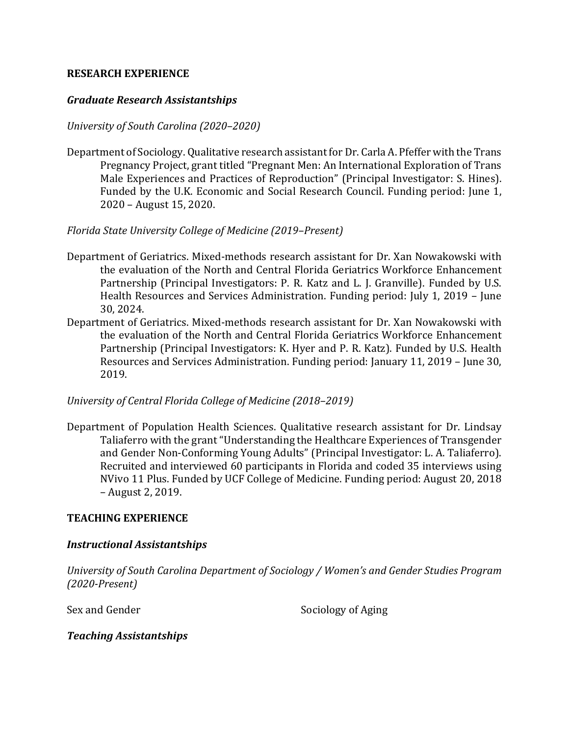### **RESEARCH EXPERIENCE**

### *Graduate Research Assistantships*

### *University of South Carolina (2020–2020)*

Department of Sociology. Qualitative research assistant for Dr. Carla A. Pfeffer with the Trans Pregnancy Project, grant titled "Pregnant Men: An International Exploration of Trans Male Experiences and Practices of Reproduction" (Principal Investigator: S. Hines). Funded by the U.K. Economic and Social Research Council. Funding period: June 1, 2020 – August 15, 2020.

### *Florida State University College of Medicine (2019–Present)*

- Department of Geriatrics. Mixed-methods research assistant for Dr. Xan Nowakowski with the evaluation of the North and Central Florida Geriatrics Workforce Enhancement Partnership (Principal Investigators: P. R. Katz and L. J. Granville). Funded by U.S. Health Resources and Services Administration. Funding period: July 1, 2019 – June 30, 2024.
- Department of Geriatrics. Mixed-methods research assistant for Dr. Xan Nowakowski with the evaluation of the North and Central Florida Geriatrics Workforce Enhancement Partnership (Principal Investigators: K. Hyer and P. R. Katz). Funded by U.S. Health Resources and Services Administration. Funding period: January 11, 2019 – June 30, 2019.

### *University of Central Florida College of Medicine (2018–2019)*

Department of Population Health Sciences. Qualitative research assistant for Dr. Lindsay Taliaferro with the grant "Understanding the Healthcare Experiences of Transgender and Gender Non-Conforming Young Adults" (Principal Investigator: L. A. Taliaferro). Recruited and interviewed 60 participants in Florida and coded 35 interviews using NVivo 11 Plus. Funded by UCF College of Medicine. Funding period: August 20, 2018 – August 2, 2019.

### **TEACHING EXPERIENCE**

### *Instructional Assistantships*

*University of South Carolina Department of Sociology / Women's and Gender Studies Program (2020-Present)*

Sex and Gender Sociology of Aging

## *Teaching Assistantships*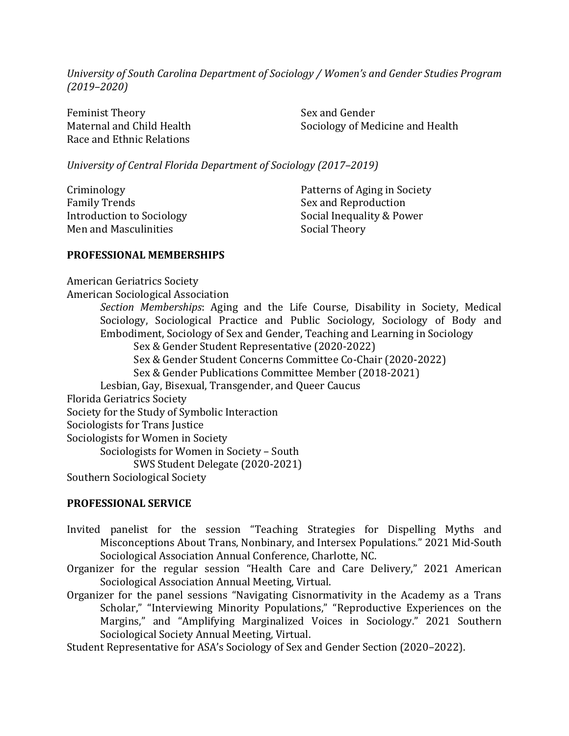*University of South Carolina Department of Sociology / Women's and Gender Studies Program (2019–2020)*

Feminist Theory Maternal and Child Health Race and Ethnic Relations

Sex and Gender Sociology of Medicine and Health

*University of Central Florida Department of Sociology (2017–2019)*

| Criminology               |
|---------------------------|
| <b>Family Trends</b>      |
| Introduction to Sociology |
| Men and Masculinities     |
|                           |

Patterns of Aging in Society Sex and Reproduction Social Inequality & Power Social Theory

#### **PROFESSIONAL MEMBERSHIPS**

American Geriatrics Society

American Sociological Association

*Section Memberships*: Aging and the Life Course, Disability in Society, Medical Sociology, Sociological Practice and Public Sociology, Sociology of Body and Embodiment, Sociology of Sex and Gender, Teaching and Learning in Sociology Sex & Gender Student Representative (2020-2022) Sex & Gender Student Concerns Committee Co-Chair (2020-2022) Sex & Gender Publications Committee Member (2018-2021) Lesbian, Gay, Bisexual, Transgender, and Queer Caucus Florida Geriatrics Society Society for the Study of Symbolic Interaction Sociologists for Trans Justice Sociologists for Women in Society Sociologists for Women in Society – South SWS Student Delegate (2020-2021) Southern Sociological Society

### **PROFESSIONAL SERVICE**

- Invited panelist for the session "Teaching Strategies for Dispelling Myths and Misconceptions About Trans, Nonbinary, and Intersex Populations." 2021 Mid-South Sociological Association Annual Conference, Charlotte, NC.
- Organizer for the regular session "Health Care and Care Delivery," 2021 American Sociological Association Annual Meeting, Virtual.
- Organizer for the panel sessions "Navigating Cisnormativity in the Academy as a Trans Scholar," "Interviewing Minority Populations," "Reproductive Experiences on the Margins," and "Amplifying Marginalized Voices in Sociology." 2021 Southern Sociological Society Annual Meeting, Virtual.

Student Representative for ASA's Sociology of Sex and Gender Section (2020–2022).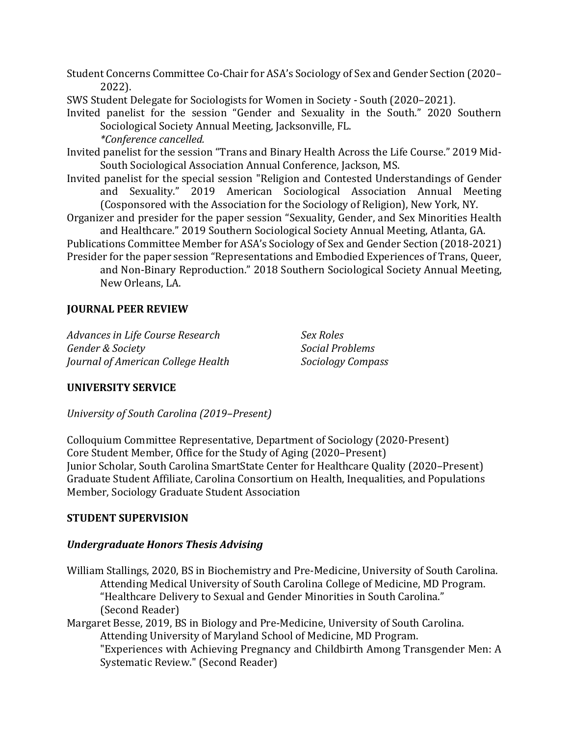Student Concerns Committee Co-Chair for ASA's Sociology of Sex and Gender Section (2020– 2022).

SWS Student Delegate for Sociologists for Women in Society - South (2020–2021).

Invited panelist for the session "Gender and Sexuality in the South." 2020 Southern Sociological Society Annual Meeting, Jacksonville, FL. *\*Conference cancelled.*

Invited panelist for the session "Trans and Binary Health Across the Life Course." 2019 Mid-South Sociological Association Annual Conference, Jackson, MS.

- Invited panelist for the special session "Religion and Contested Understandings of Gender and Sexuality." 2019 American Sociological Association Annual Meeting (Cosponsored with the Association for the Sociology of Religion), New York, NY.
- Organizer and presider for the paper session "Sexuality, Gender, and Sex Minorities Health and Healthcare." 2019 Southern Sociological Society Annual Meeting, Atlanta, GA.

Publications Committee Member for ASA's Sociology of Sex and Gender Section (2018-2021) Presider for the paper session "Representations and Embodied Experiences of Trans, Queer,

and Non-Binary Reproduction." 2018 Southern Sociological Society Annual Meeting, New Orleans, LA.

# **JOURNAL PEER REVIEW**

*Advances in Life Course Research Gender & Society Journal of American College Health* *Sex Roles Social Problems Sociology Compass*

## **UNIVERSITY SERVICE**

*University of South Carolina (2019–Present)*

Colloquium Committee Representative, Department of Sociology (2020-Present) Core Student Member, Office for the Study of Aging (2020–Present) Junior Scholar, South Carolina SmartState Center for Healthcare Quality (2020–Present) Graduate Student Affiliate, Carolina Consortium on Health, Inequalities, and Populations Member, Sociology Graduate Student Association

## **STUDENT SUPERVISION**

## *Undergraduate Honors Thesis Advising*

William Stallings, 2020, BS in Biochemistry and Pre-Medicine, University of South Carolina. Attending Medical University of South Carolina College of Medicine, MD Program. "Healthcare Delivery to Sexual and Gender Minorities in South Carolina." (Second Reader)

Margaret Besse, 2019, BS in Biology and Pre-Medicine, University of South Carolina. Attending University of Maryland School of Medicine, MD Program. "Experiences with Achieving Pregnancy and Childbirth Among Transgender Men: A Systematic Review." (Second Reader)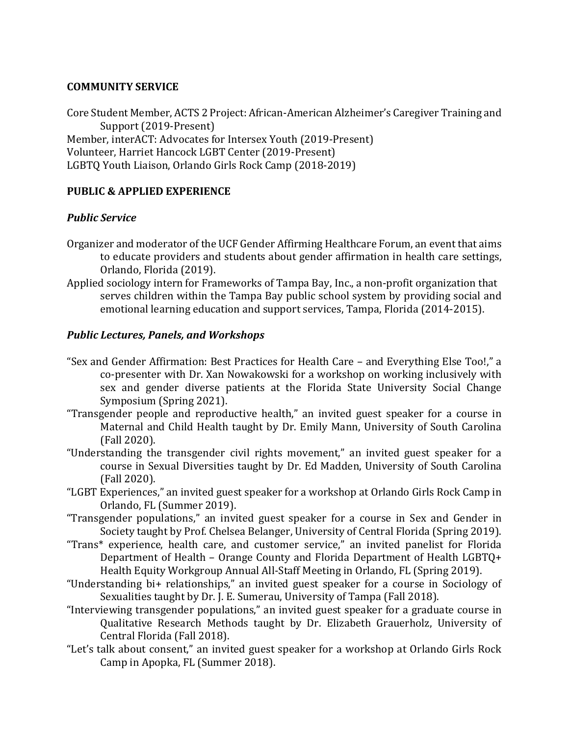# **COMMUNITY SERVICE**

Core Student Member, ACTS 2 Project: African-American Alzheimer's Caregiver Training and Support (2019-Present) Member, interACT: Advocates for Intersex Youth (2019-Present) Volunteer, Harriet Hancock LGBT Center (2019-Present) LGBTQ Youth Liaison, Orlando Girls Rock Camp (2018-2019)

# **PUBLIC & APPLIED EXPERIENCE**

# *Public Service*

- Organizer and moderator of the UCF Gender Affirming Healthcare Forum, an event that aims to educate providers and students about gender affirmation in health care settings, Orlando, Florida (2019).
- Applied sociology intern for Frameworks of Tampa Bay, Inc., a non-profit organization that serves children within the Tampa Bay public school system by providing social and emotional learning education and support services, Tampa, Florida (2014-2015).

# *Public Lectures, Panels, and Workshops*

- "Sex and Gender Affirmation: Best Practices for Health Care and Everything Else Too!," a co-presenter with Dr. Xan Nowakowski for a workshop on working inclusively with sex and gender diverse patients at the Florida State University Social Change Symposium (Spring 2021).
- "Transgender people and reproductive health," an invited guest speaker for a course in Maternal and Child Health taught by Dr. Emily Mann, University of South Carolina (Fall 2020).
- "Understanding the transgender civil rights movement," an invited guest speaker for a course in Sexual Diversities taught by Dr. Ed Madden, University of South Carolina (Fall 2020).
- "LGBT Experiences," an invited guest speaker for a workshop at Orlando Girls Rock Camp in Orlando, FL (Summer 2019).
- "Transgender populations," an invited guest speaker for a course in Sex and Gender in Society taught by Prof. Chelsea Belanger, University of Central Florida (Spring 2019).
- "Trans\* experience, health care, and customer service," an invited panelist for Florida Department of Health – Orange County and Florida Department of Health LGBTQ+ Health Equity Workgroup Annual All-Staff Meeting in Orlando, FL (Spring 2019).
- "Understanding bi+ relationships," an invited guest speaker for a course in Sociology of Sexualities taught by Dr. J. E. Sumerau, University of Tampa (Fall 2018).
- "Interviewing transgender populations," an invited guest speaker for a graduate course in Qualitative Research Methods taught by Dr. Elizabeth Grauerholz, University of Central Florida (Fall 2018).
- "Let's talk about consent," an invited guest speaker for a workshop at Orlando Girls Rock Camp in Apopka, FL (Summer 2018).